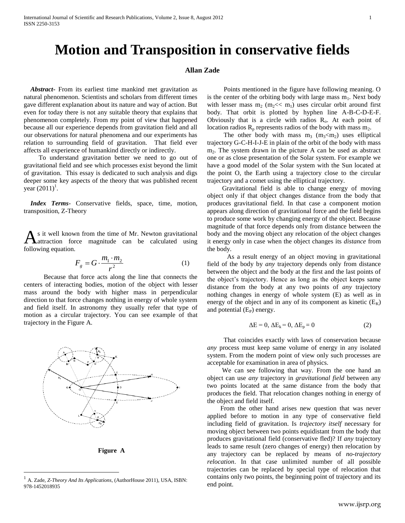## **Motion and Transposition in conservative fields**

## **Allan Zade**

 *Abstract***-** From its earliest time mankind met gravitation as natural phenomenon. Scientists and scholars from different times gave different explanation about its nature and way of action. But even for today there is not any suitable theory that explains that phenomenon completely. From my point of view that happened because all our experience depends from gravitation field and all our observations for natural phenomena and our experiments has relation to surrounding field of gravitation. That field ever affects all experience of humankind directly or indirectly.

 To understand gravitation better we need to go out of gravitational field and see which processes exist beyond the limit of gravitation. This essay is dedicated to such analysis and digs deeper some key aspects of the theory that was published recent year  $(2011)^{1}$ .

 *Index Terms*- Conservative fields, space, time, motion, transposition, Z-Theory

s it well known from the time of Mr. Newton gravitational attraction force magnitude can be calculated using following equation. A

$$
F_g = G \cdot \frac{m_1 \cdot m_2}{r^2} \tag{1}
$$

 Because that force acts along the line that connects the centers of interacting bodies, motion of the object with lesser mass around the body with higher mass in perpendicular direction to that force changes nothing in energy of whole system and field itself. In astronomy they usually refer that type of motion as a circular trajectory. You can see example of that trajectory in the Figure A.





<sup>1</sup> A. Zade, *Z-Theory And Its Applications*, (AuthorHouse 2011), USA, ISBN: 978-1452018935

 $\overline{a}$ 

 Points mentioned in the figure have following meaning. O is the center of the orbiting body with large mass  $m_1$ . Next body with lesser mass  $m_2$  ( $m_2 \ll m_1$ ) uses circular orbit around first body. That orbit is plotted by hyphen line A-B-C-D-E-F. Obviously that is a circle with radios  $R_0$ . At each point of location radios  $R_p$  represents radios of the body with mass  $m_2$ .

The other body with mass  $m_3$  ( $m_3$ <m<sub>2</sub>) uses elliptical trajectory G-C-H-I-J-E in plain of the orbit of the body with mass  $m<sub>2</sub>$ . The system drawn in the picture A can be used as abstract one or as close presentation of the Solar system. For example we have a good model of the Solar system with the Sun located at the point O, the Earth using a trajectory close to the circular trajectory and a comet using the elliptical trajectory.

 Gravitational field is able to change energy of moving object only if that object changes distance from the body that produces gravitational field. In that case a component motion appears along direction of gravitational force and the field begins to produce some work by changing energy of the object. Because magnitude of that force depends only from distance between the body and the moving object any relocation of the object changes it energy only in case when the object changes its *distance* from the body.

 As a result energy of an object moving in gravitational field of the body by *any* trajectory depends only from distance between the object and the body at the first and the last points of the object's trajectory. Hence as long as the object keeps same distance from the body at any two points of *any* trajectory nothing changes in energy of whole system (E) as well as in energy of the object and in any of its component as kinetic  $(E_K)$ and potential  $(E_P)$  energy.

$$
\Delta E = 0, \Delta E_k = 0, \Delta E_p = 0 \tag{2}
$$

 That coincides exactly with laws of conservation because *any* process must keep same volume of energy in any isolated system. From the modern point of view only such processes are acceptable for examination in area of physics.

 We can see following that way. From the one hand an object can use *any* trajectory in *gravitational field* between any two points located at the same distance from the body that produces the field. That relocation changes nothing in energy of the object and field itself.

 From the other hand arises new question that was never applied before to motion in any type of conservative field including field of gravitation. Is *trajectory itself* necessary for moving object between two points equidistant from the body that produces gravitational field (conservative fled)? If *any* trajectory leads to same result (zero changes of energy) then relocation by any trajectory can be replaced by means of *no-trajectory relocation*. In that case unlimited number of all possible trajectories can be replaced by special type of relocation that contains only two points, the beginning point of trajectory and its end point.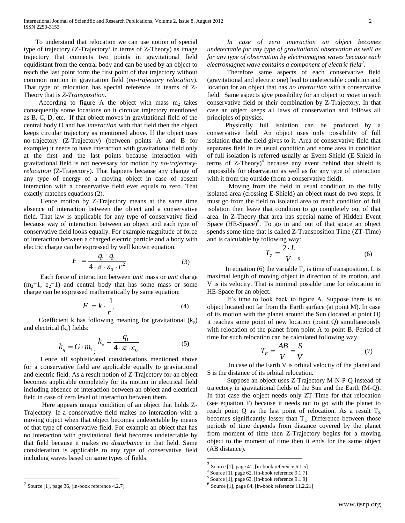To understand that relocation we can use notion of special type of trajectory (Z-Trajectory<sup>2</sup> in terms of Z-Theory) as image trajectory that connects two points in gravitational field equidistant from the central body and can be used by an object to reach the last point form the first point of that trajectory without common motion in gravitation field (*no-trajectory relocation*). That type of relocation has special reference. In teams of Z-Theory that is *Z-Transposition*.

According to figure A the object with mass  $m_2$  takes consequently some locations on it circular trajectory mentioned as B, C, D, etc. If that object moves in gravitational field of the central body O and has *interaction* with that field then the object keeps circular trajectory as mentioned above. If the object uses no-trajectory (Z-Trajectory) (between points A and B for example) it needs to have interaction with gravitational field only at the first and the last points because interaction with gravitational field is not necessary for motion by *no-trajectoryrelocation* (Z-Trajectory). That happens because any change of any type of energy of a moving object in case of absent interaction with a conservative field ever equals to zero. That exactly matches equations (2).

 Hence motion by Z-Trajectory means at the same time absence of interaction between the object and a conservative field. That law is applicable for any type of conservative field because way of interaction between an object and each type of conservative field looks equally. For example magnitude of force of interaction between a charged electric particle and a body with electric charge can be expressed by well known equation.

$$
F = \frac{q_1 \cdot q_2}{4 \cdot \pi \cdot \varepsilon_0 \cdot r^2} \tag{3}
$$

 Each force of interaction between *unit* mass or *unit* charge  $(m<sub>2</sub>=1, q<sub>2</sub>=1)$  and central body that has some mass or some charge can be expressed mathematically by same equation:

$$
F = k \cdot \frac{1}{r^2} \tag{4}
$$

Coefficient k has following meaning for gravitational  $(k_{\circ})$ and electrical  $(k_e)$  fields:

$$
k_g = G \cdot m_1 \cdot k_e = \frac{q_1}{4 \cdot \pi \cdot \varepsilon_0} \tag{5}
$$

 Hence all sophisticated considerations mentioned above for a conservative field are applicable equally to gravitational and electric field. As a result notion of Z-Trajectory for an object becomes applicable completely for its motion in electrical field including absence of interaction between an object and electrical field in case of zero level of interaction between them.

 Here appears unique condition of an object that holds Z-Trajectory. If a conservative field makes no interaction with a moving object when that object becomes undetectable by means of that type of conservative field. For example an object that has no interaction with gravitational field becomes undetectable by that field because it makes *no disturbance* in that field. Same consideration is applicable to any type of conservative field including waves based on same types of fields.

 Therefore same aspects of each conservative field (gravitational and electric one) lead to undetectable condition and location for an object that has *no interaction* with a conservative field. Same aspects give possibility for an object to *move* in each conservative field or their combination by Z-Trajectory. In that case an object keeps all laws of conservation and follows all principles of physics.

 Physically full isolation can be produced by a conservative field. An object uses only possibility of full isolation that the field gives to it. Area of conservative field that separates field in its usual condition and some area in condition of full isolation is referred usually as Event-Shield (E-Shield in terms of  $Z$ -Theory)<sup>4</sup> because any event behind that shield is impossible for observation as well as for any type of interaction with it from the outside (from a conservative field).

 Moving from the field in usual condition to the fully isolated area (crossing E-Shield) an object must do two steps. It must go from the field to isolated area to reach condition of full isolation then leave that condition to go completely out of that area. In Z-Theory that area has special name of Hidden Event Space  $(HE-Space)^5$ . To go in and out of that space an object spends some time that is called Z-Transposition Time (ZT-Time) and is calculable by following way:

$$
T_Z = \frac{2 \cdot L}{V_{6}}
$$
 (6)

In equation (6) the variable  $T_z$  is time of transposition, L is maximal length of moving object in direction of its motion, and V is its velocity. That is minimal possible time for relocation in HE-Space for an object.

 It's time to look back to figure A. Suppose there is an object located not far from the Earth surface (at point M). In case of its motion with the planet around the Sun (located at point O) it reaches some point of new location (point Q) simultaneously with relocation of the planet from point A to point B. Period of time for such relocation can be calculated following way.

$$
T_E = \frac{AB}{V} = \frac{S}{V}
$$
 (7)

 In case of the Earth V is orbital velocity of the planet and S is the distance of its orbital relocation.

 Suppose an object uses Z-Trajectory M-N-P-Q instead of trajectory in gravitational fields of the Sun and the Earth (M-Q). In that case the object needs only ZT-Time for that relocation (see equation F) because it needs not to go with the planet to reach point Q as the last point of relocation. As a result  $T_Z$ becomes significantly lesser than  $T_E$ . Difference between those periods of time depends from distance covered by the planet from moment of time then Z-Trajectory begins for a moving object to the moment of time then it ends for the same object (AB distance).

 $\overline{a}$ 

 $\overline{a}$ 

*In case of zero interaction an object becomes undetectable for any type of gravitational observation as well as for any type of observation by electromagnet waves because each electromagnet wave contains a component of electric field<sup>3</sup> .* 

 $3$  Source [1], page 41, [in-book reference 6.1.5]

<sup>4</sup> Source [1], page 62, [in-book reference 9.1.7]

<sup>5</sup> Source [1], page 63, [in-book reference 9.1.9]

 $<sup>6</sup>$  Source [1], page 84, [in-book reference 11.2.21]</sup>

<sup>2</sup> Source [1], page 36, [in-book reference 4.2.7]